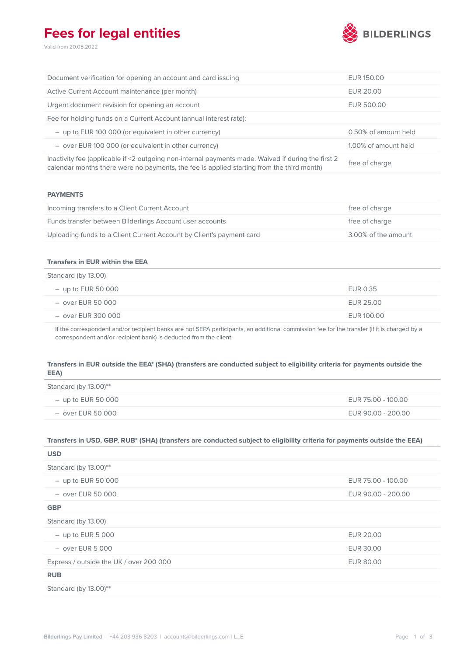# **Fees for legal entities**

Valid from 20.05.2022



| Document verification for opening an account and card issuing                                                                                                                                   | EUR 150.00           |
|-------------------------------------------------------------------------------------------------------------------------------------------------------------------------------------------------|----------------------|
| Active Current Account maintenance (per month)                                                                                                                                                  | EUR 20.00            |
| Urgent document revision for opening an account                                                                                                                                                 | EUR 500.00           |
| Fee for holding funds on a Current Account (annual interest rate):                                                                                                                              |                      |
| $-$ up to EUR 100 000 (or equivalent in other currency)                                                                                                                                         | 0.50% of amount held |
| $-$ over EUR 100 000 (or equivalent in other currency)                                                                                                                                          | 1.00% of amount held |
| Inactivity fee (applicable if <2 outgoing non-internal payments made. Waived if during the first 2<br>calendar months there were no payments, the fee is applied starting from the third month) | free of charge       |

#### **PAYMENTS**

| Incoming transfers to a Client Current Account                       | free of charge      |
|----------------------------------------------------------------------|---------------------|
| Funds transfer between Bilderlings Account user accounts             | free of charge      |
| Uploading funds to a Client Current Account by Client's payment card | 3.00% of the amount |

### **Transfers in EUR within the EEA**

| Standard (by 13.00)  |            |
|----------------------|------------|
| $-$ up to EUR 50 000 | EUR 0.35   |
| – over EUR 50 000    | EUR 25.00  |
| – over EUR 300 000   | EUR 100.00 |

If the correspondent and/or recipient banks are not SEPA participants, an additional commission fee for the transfer (if it is charged by a correspondent and/or recipient bank) is deducted from the client.

## **Transfers in EUR outside the EEA\* (SHA) (transfers are conducted subject to eligibility criteria for payments outside the EEA)**

| Standard (by $13.00$ )** |                    |
|--------------------------|--------------------|
| $-$ up to EUR 50 000     | EUR 75.00 - 100.00 |
| – over EUR 50 000        | EUR 90.00 - 200.00 |

## **Transfers in USD, GBP, RUB\* (SHA) (transfers are conducted subject to eligibility criteria for payments outside the EEA)**

| <b>USD</b>                              |                    |
|-----------------------------------------|--------------------|
| Standard (by 13.00)**                   |                    |
| $-$ up to EUR 50 000                    | EUR 75.00 - 100.00 |
| $-$ over EUR 50 000                     | EUR 90.00 - 200.00 |
| <b>GBP</b>                              |                    |
| Standard (by 13.00)                     |                    |
| $-$ up to EUR 5 000                     | EUR 20.00          |
| $-$ over EUR 5 000                      | <b>EUR 30.00</b>   |
| Express / outside the UK / over 200 000 | EUR 80.00          |
| <b>RUB</b>                              |                    |
| Standard (by 13.00)**                   |                    |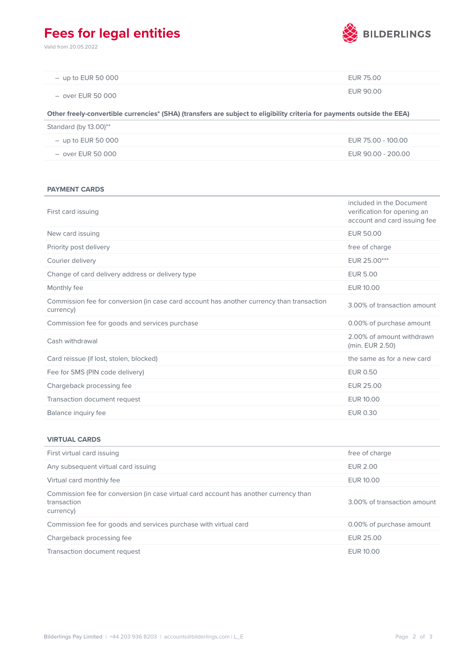# **Fees for legal entities**

Valid from 20.05.2022



| $-$ up to EUR 50 000 | EUR 75.00 |
|----------------------|-----------|
| – over EUR 50 000    | EUR 90.00 |

### **Other freely-convertible currencies\* (SHA) (transfers are subject to eligibility criteria for payments outside the EEA)**

| Standard (by $13.00$ )** |                    |
|--------------------------|--------------------|
| $-$ up to EUR 50 000     | EUR 75.00 - 100.00 |
| – over EUR 50 000        | EUR 90.00 - 200.00 |

#### **PAYMENT CARDS**

| First card issuing                                                                                     | included in the Document<br>verification for opening an<br>account and card issuing fee |
|--------------------------------------------------------------------------------------------------------|-----------------------------------------------------------------------------------------|
| New card issuing                                                                                       | <b>EUR 50.00</b>                                                                        |
| Priority post delivery                                                                                 | free of charge                                                                          |
| Courier delivery                                                                                       | EUR 25.00***                                                                            |
| Change of card delivery address or delivery type                                                       | <b>EUR 5.00</b>                                                                         |
| Monthly fee                                                                                            | EUR 10.00                                                                               |
| Commission fee for conversion (in case card account has another currency than transaction<br>currency) | 3.00% of transaction amount                                                             |
| Commission fee for goods and services purchase                                                         | 0.00% of purchase amount                                                                |
| Cash withdrawal                                                                                        | 2.00% of amount withdrawn<br>(min. EUR 2.50)                                            |
| Card reissue (if lost, stolen, blocked)                                                                | the same as for a new card                                                              |
| Fee for SMS (PIN code delivery)                                                                        | <b>EUR 0.50</b>                                                                         |
| Chargeback processing fee                                                                              | <b>EUR 25.00</b>                                                                        |
| Transaction document request                                                                           | EUR 10.00                                                                               |
| Balance inquiry fee                                                                                    | <b>EUR 0.30</b>                                                                         |

### **VIRTUAL CARDS**

| First virtual card issuing                                                                                        | free of charge              |
|-------------------------------------------------------------------------------------------------------------------|-----------------------------|
| Any subsequent virtual card issuing                                                                               | <b>EUR 2.00</b>             |
| Virtual card monthly fee                                                                                          | EUR 10.00                   |
| Commission fee for conversion (in case virtual card account has another currency than<br>transaction<br>currency) | 3.00% of transaction amount |
| Commission fee for goods and services purchase with virtual card                                                  | 0.00% of purchase amount    |
| Chargeback processing fee                                                                                         | EUR 25.00                   |
| Transaction document request                                                                                      | FUR 10.00                   |